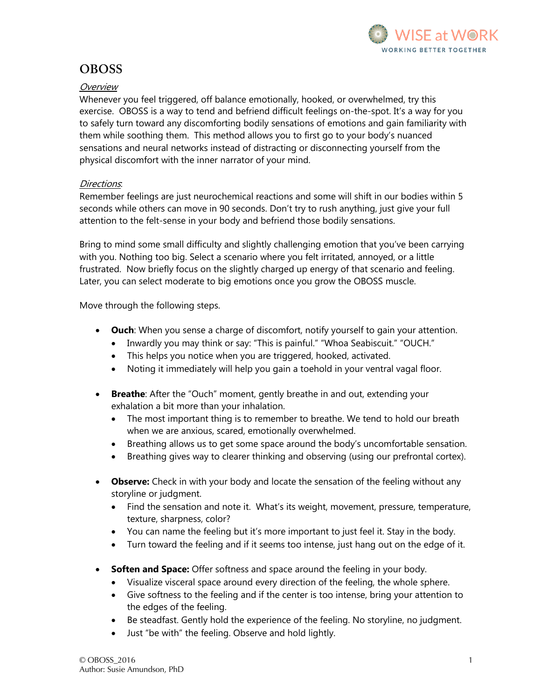

## **OBOSS**

## **Overview**

Whenever you feel triggered, off balance emotionally, hooked, or overwhelmed, try this exercise. OBOSS is a way to tend and befriend difficult feelings on-the-spot. It's a way for you to safely turn toward any discomforting bodily sensations of emotions and gain familiarity with them while soothing them. This method allows you to first go to your body's nuanced sensations and neural networks instead of distracting or disconnecting yourself from the physical discomfort with the inner narrator of your mind.

## Directions.

Remember feelings are just neurochemical reactions and some will shift in our bodies within 5 seconds while others can move in 90 seconds. Don't try to rush anything, just give your full attention to the felt-sense in your body and befriend those bodily sensations.

Bring to mind some small difficulty and slightly challenging emotion that you've been carrying with you. Nothing too big. Select a scenario where you felt irritated, annoyed, or a little frustrated. Now briefly focus on the slightly charged up energy of that scenario and feeling. Later, you can select moderate to big emotions once you grow the OBOSS muscle.

Move through the following steps.

- **Ouch**: When you sense a charge of discomfort, notify yourself to gain your attention.
	- Inwardly you may think or say: "This is painful." "Whoa Seabiscuit." "OUCH."
	- This helps you notice when you are triggered, hooked, activated.
	- Noting it immediately will help you gain a toehold in your ventral vagal floor.
- **Breathe**: After the "Ouch" moment, gently breathe in and out, extending your exhalation a bit more than your inhalation.
	- The most important thing is to remember to breathe. We tend to hold our breath when we are anxious, scared, emotionally overwhelmed.
	- Breathing allows us to get some space around the body's uncomfortable sensation.
	- Breathing gives way to clearer thinking and observing (using our prefrontal cortex).
- **Observe:** Check in with your body and locate the sensation of the feeling without any storyline or judgment.
	- Find the sensation and note it. What's its weight, movement, pressure, temperature, texture, sharpness, color?
	- You can name the feeling but it's more important to just feel it. Stay in the body.
	- Turn toward the feeling and if it seems too intense, just hang out on the edge of it.
- **Soften and Space:** Offer softness and space around the feeling in your body.
	- Visualize visceral space around every direction of the feeling, the whole sphere.
	- Give softness to the feeling and if the center is too intense, bring your attention to the edges of the feeling.
	- Be steadfast. Gently hold the experience of the feeling. No storyline, no judgment.
	- Just "be with" the feeling. Observe and hold lightly.